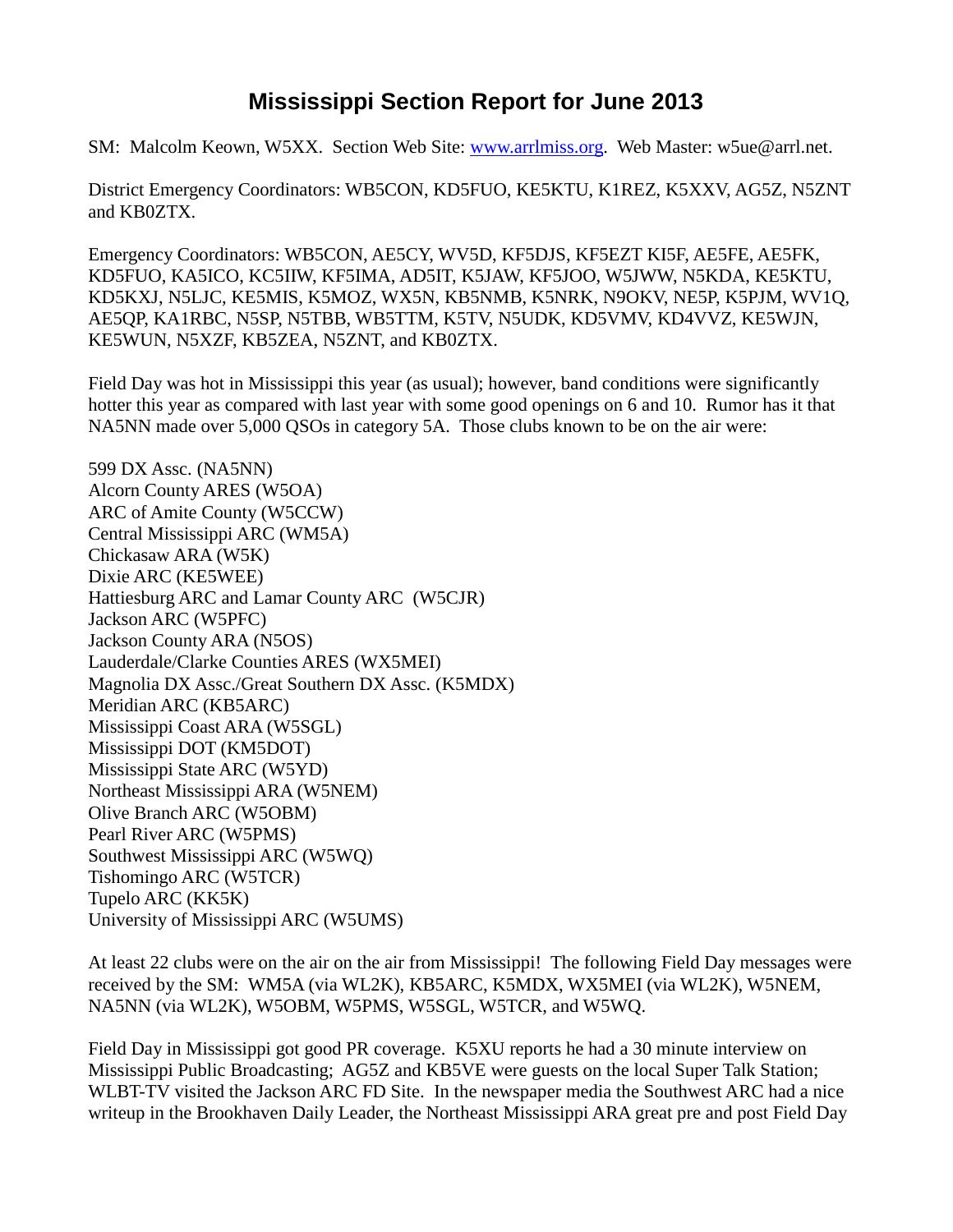## **Mississippi Section Report for June 2013**

SM: Malcolm Keown, W5XX. Section Web Site: [www.arrlmiss.org.](http://www.arrlmiss.org/) Web Master: w5ue@arrl.net.

District Emergency Coordinators: WB5CON, KD5FUO, KE5KTU, K1REZ, K5XXV, AG5Z, N5ZNT and KB0ZTX.

Emergency Coordinators: WB5CON, AE5CY, WV5D, KF5DJS, KF5EZT KI5F, AE5FE, AE5FK, KD5FUO, KA5ICO, KC5IIW, KF5IMA, AD5IT, K5JAW, KF5JOO, W5JWW, N5KDA, KE5KTU, KD5KXJ, N5LJC, KE5MIS, K5MOZ, WX5N, KB5NMB, K5NRK, N9OKV, NE5P, K5PJM, WV1Q, AE5QP, KA1RBC, N5SP, N5TBB, WB5TTM, K5TV, N5UDK, KD5VMV, KD4VVZ, KE5WJN, KE5WUN, N5XZF, KB5ZEA, N5ZNT, and KB0ZTX.

Field Day was hot in Mississippi this year (as usual); however, band conditions were significantly hotter this year as compared with last year with some good openings on 6 and 10. Rumor has it that NA5NN made over 5,000 QSOs in category 5A. Those clubs known to be on the air were:

599 DX Assc. (NA5NN) Alcorn County ARES (W5OA) ARC of Amite County (W5CCW) Central Mississippi ARC (WM5A) Chickasaw ARA (W5K) Dixie ARC (KE5WEE) Hattiesburg ARC and Lamar County ARC (W5CJR) Jackson ARC (W5PFC) Jackson County ARA (N5OS) Lauderdale/Clarke Counties ARES (WX5MEI) Magnolia DX Assc./Great Southern DX Assc. (K5MDX) Meridian ARC (KB5ARC) Mississippi Coast ARA (W5SGL) Mississippi DOT (KM5DOT) Mississippi State ARC (W5YD) Northeast Mississippi ARA (W5NEM) Olive Branch ARC (W5OBM) Pearl River ARC (W5PMS) Southwest Mississippi ARC (W5WQ) Tishomingo ARC (W5TCR) Tupelo ARC (KK5K) University of Mississippi ARC (W5UMS)

At least 22 clubs were on the air on the air from Mississippi! The following Field Day messages were received by the SM: WM5A (via WL2K), KB5ARC, K5MDX, WX5MEI (via WL2K), W5NEM, NA5NN (via WL2K), W5OBM, W5PMS, W5SGL, W5TCR, and W5WQ.

Field Day in Mississippi got good PR coverage. K5XU reports he had a 30 minute interview on Mississippi Public Broadcasting; AG5Z and KB5VE were guests on the local Super Talk Station; WLBT-TV visited the Jackson ARC FD Site. In the newspaper media the Southwest ARC had a nice writeup in the Brookhaven Daily Leader, the Northeast Mississippi ARA great pre and post Field Day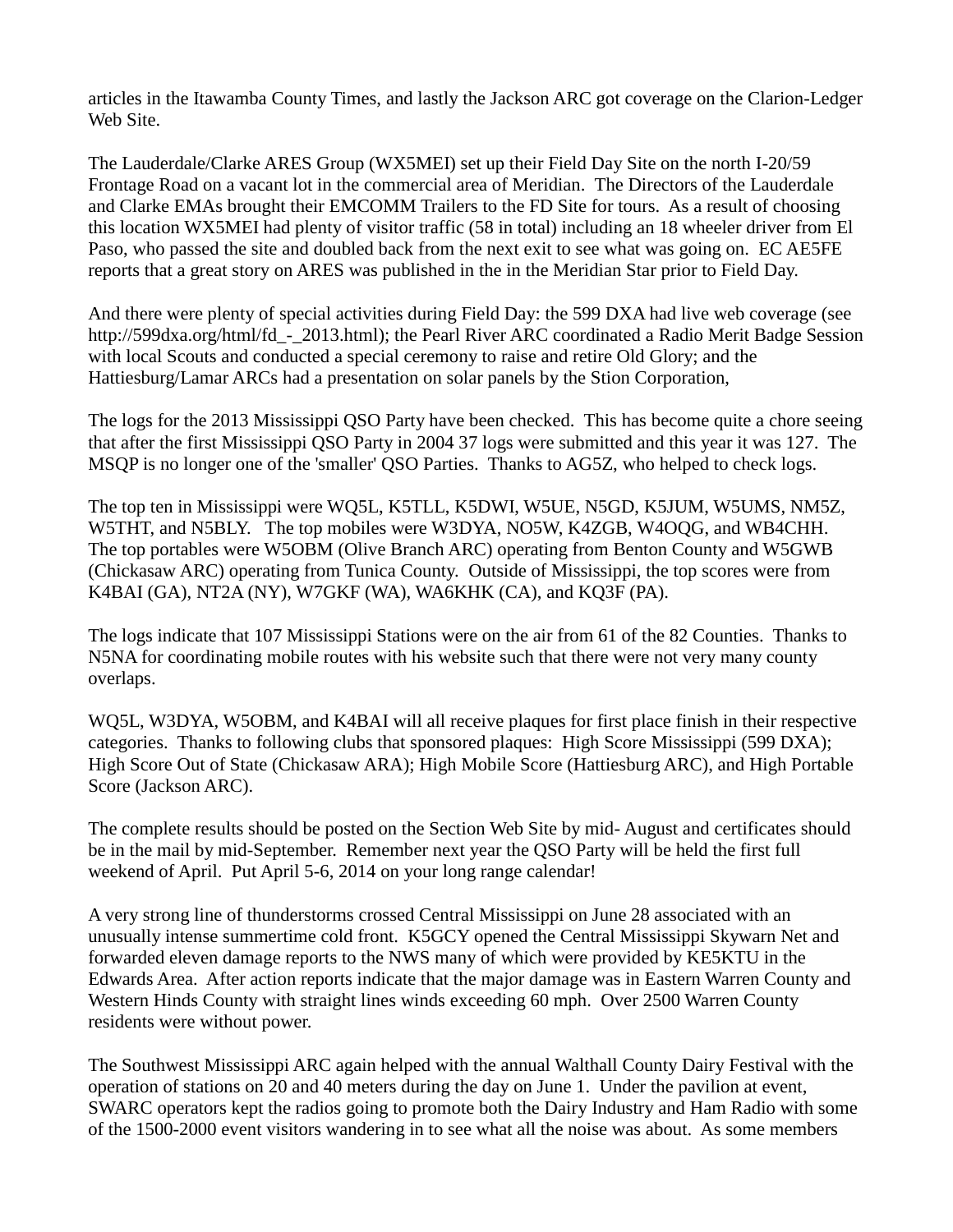articles in the Itawamba County Times, and lastly the Jackson ARC got coverage on the Clarion-Ledger Web Site.

The Lauderdale/Clarke ARES Group (WX5MEI) set up their Field Day Site on the north I-20/59 Frontage Road on a vacant lot in the commercial area of Meridian. The Directors of the Lauderdale and Clarke EMAs brought their EMCOMM Trailers to the FD Site for tours. As a result of choosing this location WX5MEI had plenty of visitor traffic (58 in total) including an 18 wheeler driver from El Paso, who passed the site and doubled back from the next exit to see what was going on. EC AE5FE reports that a great story on ARES was published in the in the Meridian Star prior to Field Day.

And there were plenty of special activities during Field Day: the 599 DXA had live web coverage (see http://599dxa.org/html/fd - 2013.html); the Pearl River ARC coordinated a Radio Merit Badge Session with local Scouts and conducted a special ceremony to raise and retire Old Glory; and the Hattiesburg/Lamar ARCs had a presentation on solar panels by the Stion Corporation,

The logs for the 2013 Mississippi QSO Party have been checked. This has become quite a chore seeing that after the first Mississippi QSO Party in 2004 37 logs were submitted and this year it was 127. The MSQP is no longer one of the 'smaller' QSO Parties. Thanks to AG5Z, who helped to check logs.

The top ten in Mississippi were WQ5L, K5TLL, K5DWI, W5UE, N5GD, K5JUM, W5UMS, NM5Z, W5THT, and N5BLY. The top mobiles were W3DYA, NO5W, K4ZGB, W4OQG, and WB4CHH. The top portables were W5OBM (Olive Branch ARC) operating from Benton County and W5GWB (Chickasaw ARC) operating from Tunica County. Outside of Mississippi, the top scores were from K4BAI (GA), NT2A (NY), W7GKF (WA), WA6KHK (CA), and KQ3F (PA).

The logs indicate that 107 Mississippi Stations were on the air from 61 of the 82 Counties. Thanks to N5NA for coordinating mobile routes with his website such that there were not very many county overlaps.

WQ5L, W3DYA, W5OBM, and K4BAI will all receive plaques for first place finish in their respective categories. Thanks to following clubs that sponsored plaques: High Score Mississippi (599 DXA); High Score Out of State (Chickasaw ARA); High Mobile Score (Hattiesburg ARC), and High Portable Score (Jackson ARC).

The complete results should be posted on the Section Web Site by mid- August and certificates should be in the mail by mid-September. Remember next year the QSO Party will be held the first full weekend of April. Put April 5-6, 2014 on your long range calendar!

A very strong line of thunderstorms crossed Central Mississippi on June 28 associated with an unusually intense summertime cold front. K5GCY opened the Central Mississippi Skywarn Net and forwarded eleven damage reports to the NWS many of which were provided by KE5KTU in the Edwards Area. After action reports indicate that the major damage was in Eastern Warren County and Western Hinds County with straight lines winds exceeding 60 mph. Over 2500 Warren County residents were without power.

The Southwest Mississippi ARC again helped with the annual Walthall County Dairy Festival with the operation of stations on 20 and 40 meters during the day on June 1. Under the pavilion at event, SWARC operators kept the radios going to promote both the Dairy Industry and Ham Radio with some of the 1500-2000 event visitors wandering in to see what all the noise was about. As some members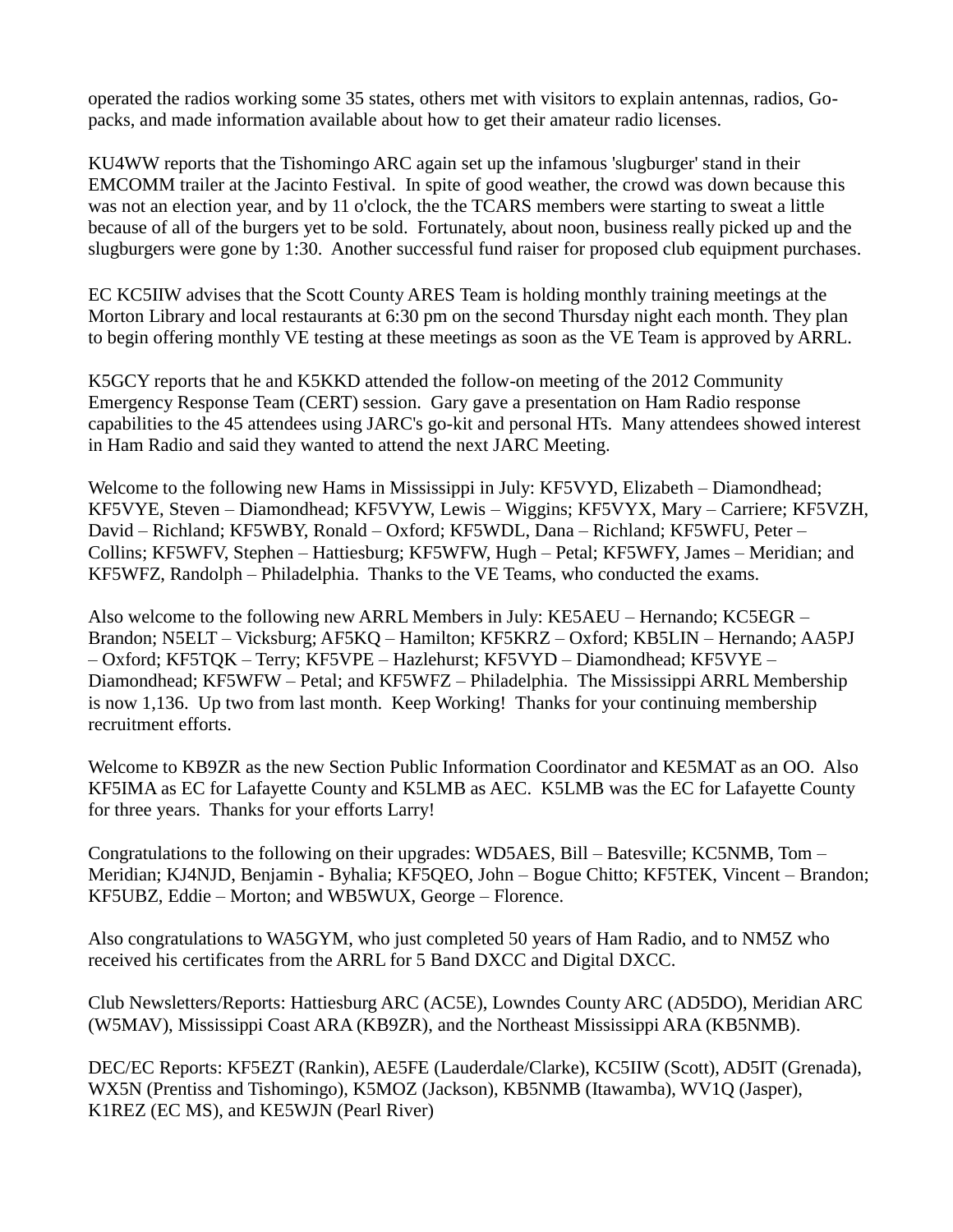operated the radios working some 35 states, others met with visitors to explain antennas, radios, Gopacks, and made information available about how to get their amateur radio licenses.

KU4WW reports that the Tishomingo ARC again set up the infamous 'slugburger' stand in their EMCOMM trailer at the Jacinto Festival. In spite of good weather, the crowd was down because this was not an election year, and by 11 o'clock, the the TCARS members were starting to sweat a little because of all of the burgers yet to be sold. Fortunately, about noon, business really picked up and the slugburgers were gone by 1:30. Another successful fund raiser for proposed club equipment purchases.

EC KC5IIW advises that the Scott County ARES Team is holding monthly training meetings at the Morton Library and local restaurants at 6:30 pm on the second Thursday night each month. They plan to begin offering monthly VE testing at these meetings as soon as the VE Team is approved by ARRL.

K5GCY reports that he and K5KKD attended the follow-on meeting of the 2012 Community Emergency Response Team (CERT) session. Gary gave a presentation on Ham Radio response capabilities to the 45 attendees using JARC's go-kit and personal HTs. Many attendees showed interest in Ham Radio and said they wanted to attend the next JARC Meeting.

Welcome to the following new Hams in Mississippi in July: KF5VYD, Elizabeth – Diamondhead; KF5VYE, Steven – Diamondhead; KF5VYW, Lewis – Wiggins; KF5VYX, Mary – Carriere; KF5VZH, David – Richland; KF5WBY, Ronald – Oxford; KF5WDL, Dana – Richland; KF5WFU, Peter – Collins; KF5WFV, Stephen – Hattiesburg; KF5WFW, Hugh – Petal; KF5WFY, James – Meridian; and KF5WFZ, Randolph – Philadelphia. Thanks to the VE Teams, who conducted the exams.

Also welcome to the following new ARRL Members in July: KE5AEU – Hernando; KC5EGR – Brandon; N5ELT – Vicksburg; AF5KQ – Hamilton; KF5KRZ – Oxford; KB5LIN – Hernando; AA5PJ – Oxford; KF5TQK – Terry; KF5VPE – Hazlehurst; KF5VYD – Diamondhead; KF5VYE – Diamondhead; KF5WFW – Petal; and KF5WFZ – Philadelphia. The Mississippi ARRL Membership is now 1,136. Up two from last month. Keep Working! Thanks for your continuing membership recruitment efforts.

Welcome to KB9ZR as the new Section Public Information Coordinator and KE5MAT as an OO. Also KF5IMA as EC for Lafayette County and K5LMB as AEC. K5LMB was the EC for Lafayette County for three years. Thanks for your efforts Larry!

Congratulations to the following on their upgrades: WD5AES, Bill – Batesville; KC5NMB, Tom – Meridian; KJ4NJD, Benjamin - Byhalia; KF5QEO, John – Bogue Chitto; KF5TEK, Vincent – Brandon; KF5UBZ, Eddie – Morton; and WB5WUX, George – Florence.

Also congratulations to WA5GYM, who just completed 50 years of Ham Radio, and to NM5Z who received his certificates from the ARRL for 5 Band DXCC and Digital DXCC.

Club Newsletters/Reports: Hattiesburg ARC (AC5E), Lowndes County ARC (AD5DO), Meridian ARC (W5MAV), Mississippi Coast ARA (KB9ZR), and the Northeast Mississippi ARA (KB5NMB).

DEC/EC Reports: KF5EZT (Rankin), AE5FE (Lauderdale/Clarke), KC5IIW (Scott), AD5IT (Grenada), WX5N (Prentiss and Tishomingo), K5MOZ (Jackson), KB5NMB (Itawamba), WV1Q (Jasper), K1REZ (EC MS), and KE5WJN (Pearl River)